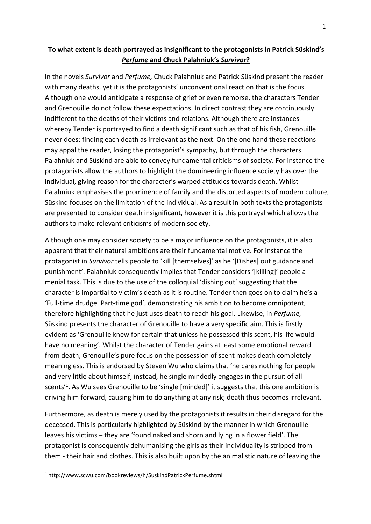## **To what extent is death portrayed as insignificant to the protagonists in Patrick Süskind's** *Perfume* **and Chuck Palahniuk's** *Survivor***?**

In the novels *Survivor* and *Perfume,* Chuck Palahniuk and Patrick Süskind present the reader with many deaths, yet it is the protagonists' unconventional reaction that is the focus. Although one would anticipate a response of grief or even remorse, the characters Tender and Grenouille do not follow these expectations. In direct contrast they are continuously indifferent to the deaths of their victims and relations. Although there are instances whereby Tender is portrayed to find a death significant such as that of his fish, Grenouille never does: finding each death as irrelevant as the next. On the one hand these reactions may appal the reader, losing the protagonist's sympathy, but through the characters Palahniuk and Süskind are able to convey fundamental criticisms of society. For instance the protagonists allow the authors to highlight the domineering influence society has over the individual, giving reason for the character's warped attitudes towards death. Whilst Palahniuk emphasises the prominence of family and the distorted aspects of modern culture, Süskind focuses on the limitation of the individual. As a result in both texts the protagonists are presented to consider death insignificant, however it is this portrayal which allows the authors to make relevant criticisms of modern society.

Although one may consider society to be a major influence on the protagonists, it is also apparent that their natural ambitions are their fundamental motive. For instance the protagonist in *Survivor*tells people to 'kill [themselves]' as he '[Dishes] out guidance and punishment'. Palahniuk consequently implies that Tender considers '[killing]' people a menial task. This is due to the use of the colloquial 'dishing out' suggesting that the character is impartial to victim's death as it is routine. Tender then goes on to claim he's a 'Full-time drudge. Part-time god', demonstrating his ambition to become omnipotent, therefore highlighting that he just uses death to reach his goal. Likewise, in *Perfume,* Süskind presents the character of Grenouille to have a very specific aim. This is firstly evident as 'Grenouille knew for certain that unless he possessed this scent, his life would have no meaning'. Whilst the character of Tender gains at least some emotional reward from death, Grenouille's pure focus on the possession of scent makes death completely meaningless. This is endorsed by Steven Wu who claims that 'he cares nothing for people and very little about himself; instead, he single mindedly engages in the pursuit of all scents'<sup>[1](#page-0-0)</sup>. As Wu sees Grenouille to be 'single [minded]' it suggests that this one ambition is driving him forward, causing him to do anything at any risk; death thus becomes irrelevant.

Furthermore, as death is merely used by the protagonists it results in their disregard for the deceased. This is particularly highlighted by Süskind by the manner in which Grenouille leaves his victims – they are 'found naked and shorn and lying in a flower field'. The protagonist is consequently dehumanising the girls as their individuality is stripped from them - their hair and clothes. This is also built upon by the animalistic nature of leaving the

<span id="page-0-0"></span><sup>1</sup> http://www.scwu.com/bookreviews/h/SuskindPatrickPerfume.shtml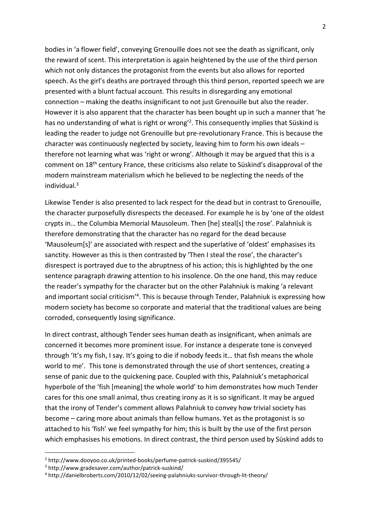bodies in 'a flower field', conveying Grenouille does not see the death as significant, only the reward of scent. This interpretation is again heightened by the use of the third person which not only distances the protagonist from the events but also allows for reported speech. As the girl's deaths are portrayed through this third person, reported speech we are presented with a blunt factual account. This results in disregarding any emotional connection – making the deaths insignificant to not just Grenouille but also the reader. However it is also apparent that the character has been bought up in such a manner that 'he has no understanding of what is right or wrong<sup>'[2](#page-1-0)</sup>. This consequently implies that Süskind is leading the reader to judge not Grenouille but pre-revolutionary France. This is because the character was continuously neglected by society, leaving him to form his own ideals– therefore not learning what was 'right or wrong'. Although it may be argued that this is a comment on 18<sup>th</sup> century France, these criticisms also relate to Süskind's disapproval of the modern mainstream materialism which he believed to be neglecting the needs of the individual $3$ 

Likewise Tender is also presented to lack respect for the dead but in contrast to Grenouille, the character purposefully disrespects the deceased. For example he isby 'one of the oldest crypts in… the Columbia Memorial Mausoleum. Then [he] steal[s] the rose'. Palahniuk is therefore demonstrating that the character has no regard for the dead because 'Mausoleum[s]' are associated with respect and the superlative of 'oldest' emphasises its sanctity. However as this is then contrasted by 'Then I steal the rose', the character's disrespect is portrayed due to the abruptness of his action; this is highlighted by the one sentence paragraph drawing attention to his insolence. On the one hand, this may reduce the reader's sympathy for the character but on the other Palahniuk is making 'a relevant and important social criticism<sup>,[4](#page-1-2)</sup>. This is because through Tender, Palahniuk is expressing how modern society has become so corporate and material that the traditional values are being corroded, consequently losing significance.

In direct contrast, although Tender sees human death as insignificant, when animals are concerned it becomes more prominent issue. For instance a desperate tone is conveyed through 'It's my fish, I say. It's going to die if nobody feeds it… that fish means the whole world to me'. This tone is demonstrated through the use of short sentences, creating a sense of panic due to the quickening pace. Coupled with this, Palahniuk's metaphorical hyperbole of the 'fish [meaning] the whole world' to him demonstrates how much Tender cares for this one small animal, thus creating irony as it is so significant. It may be argued that the irony of Tender's comment allows Palahniuk to convey how trivial society has become – caring more about animals than fellow humans. Yet as the protagonist is so attached to his 'fish' we feel sympathy for him; this is built by the use of the first person which emphasises his emotions. In direct contrast, the third person used by Süskind adds to

<span id="page-1-0"></span><sup>2</sup> http://www.dooyoo.co.uk/printed-books/perfume-patrick-suskind/395545/

<span id="page-1-1"></span><sup>3</sup> http://www.gradesaver.com/author/patrick-suskind/

<span id="page-1-2"></span><sup>4</sup> http://danielbroberts.com/2010/12/02/seeing-palahniuks-survivor-through-lit-theory/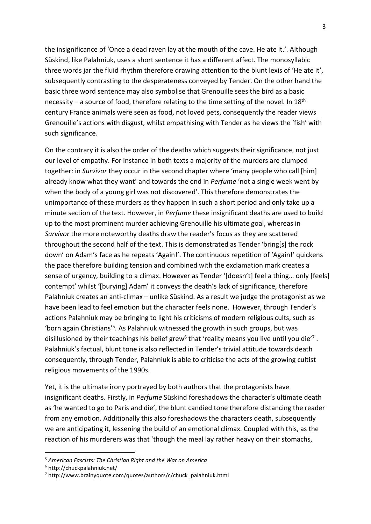the insignificance of 'Once a dead raven layat the mouth of the cave. He ate it.'. Although Süskind, like Palahniuk, uses a short sentence it has a different affect. The monosyllabic three words jar the fluid rhythm therefore drawing attention to the blunt lexis of 'He ate it', subsequently contrasting to the desperateness conveyed by Tender. On the other hand the basic three word sentence may also symbolise that Grenouille sees the bird as a basic necessity – a source of food, therefore relating to the time setting of the novel. In 18<sup>th</sup> century France animals were seen as food, not loved pets, consequently the reader views Grenouille's actions with disgust, whilst empathising with Tender as he views the 'fish' with such significance.<br>On the contrary it is also the order of the deaths which suggests their significance, not just

our level of empathy. For instance in both texts a majority of the murders are clumped together: in *Survivor*they occur in the second chapterwhere 'many people who call [him] already know what they want' and towards the end in *Perfume* 'not a single week wentby when the body of a young girl was not discovered'. This therefore demonstrates the unimportance of these murders as they happen in such a short period and only take up a minute section of the text. However, in *Perfume* these insignificant deaths are used to build up to the most prominent murder achieving Grenouille his ultimate goal, whereas in *Survivor* the more noteworthy deaths draw the reader's focus as they are scattered throughout the second half of the text. This is demonstrated as Tender 'bring[s] the rock down' on Adam's face as he repeats 'Again!'. The continuous repetition of 'Again!' quickens the pace therefore building tension and combined with the exclamation mark creates a sense of urgency, building to a climax. However as Tender '[doesn't] feel a thing... only [feels] contempt' whilst '[burying] Adam' it conveys the death's lack of significance, therefore Palahniuk creates an anti-climax – unlike Süskind. As a result we judge the protagonist as we have been lead to feel emotion but the character feels none. However, through Tender's actions Palahniuk may be bringing to light his criticisms of modern religious cults, such as 'born again Christians'<sup>[5](#page-2-0)</sup>. As Palahniuk witnessed the growth in such groups, but was disillusioned by their teachings his belief grew<sup>[6](#page-2-1)</sup> that 'reality means you live until you die'<sup>[7](#page-2-2)</sup>. . Palahniuk's factual, blunt tone is also reflected in Tender's trivial attitude towards death consequently, through Tender, Palahniuk is able to criticise the acts of the growing cultist religious movements of the 1990s.

Yet, it is the ultimate irony portrayed by both authors that the protagonists have insignificant deaths. Firstly, in *Perfume* Süskind foreshadows the character's ultimate death as 'he wanted to go to Paris and die', the blunt candied tone therefore distancing the reader from any emotion. Additionally this also foreshadows the characters death, subsequently we are anticipating it, lessening the build of an emotional climax. Coupled with this, as the reaction of his murderers was that 'though the meal lay rather heavy on their stomachs,

<span id="page-2-0"></span><sup>5</sup> *American Fascists: The Christian Right and the War on America*

<span id="page-2-1"></span><sup>6</sup> http://chuckpalahniuk.net/

<span id="page-2-2"></span> $7$  [http://www.brainyquote.com/quotes/authors/c/chuck\\_palahniuk.html](http://www.brainyquote.com/quotes/authors/c/chuck_palahniuk.html)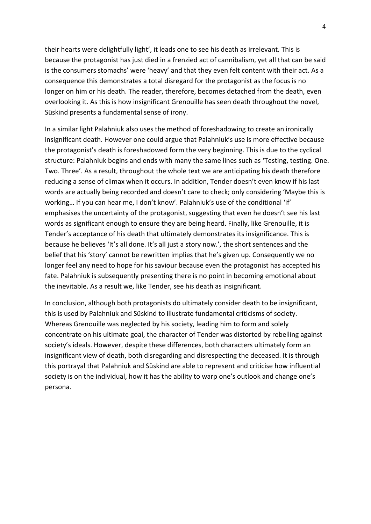their hearts were delightfully light', it leads one to see his death as irrelevant. This is because the protagonist has just died in a frenzied act of cannibalism, yet all that can be said is the consumers stomachs' were 'heavy' and that they even felt content with their act. As a consequence this demonstrates a total disregard for the protagonist as the focus is no longer on him or his death. The reader, therefore, becomes detached from the death, even overlooking it. As this is how insignificant Grenouille has seen death throughout the novel, Süskind presents a fundamental sense of irony.

In a similar light Palahniuk also uses the method of foreshadowing to create an ironically insignificant death. However one could argue that Palahniuk's use is more effective because the protagonist's death is foreshadowed form the very beginning. This is due to the cyclical structure: Palahniuk begins and ends with many the same lines such as 'Testing, testing. One. Two. Three'. As a result, throughout the whole text we are anticipating his death therefore reducing a sense of climax when it occurs. In addition, Tender doesn't even know if his last words are actually being recorded and doesn't care to check; only considering 'Maybe this is working… If you can hear me, I don't know'. Palahniuk's use of the conditional 'if' emphasises the uncertainty of the protagonist, suggesting that even he doesn't see his last words as significant enough to ensure they are being heard. Finally, like Grenouille, it is Tender's acceptance of his death that ultimately demonstrates its insignificance. This is because he believes 'It's all done. It's all just a story now.', the short sentences and the belief that his 'story' cannot be rewritten implies that he's given up. Consequently we no longer feel any need to hope for his saviour because even the protagonist has accepted his fate. Palahniuk is subsequently presenting there is no point in becoming emotional about the inevitable. As a result we, like Tender, see his death as insignificant.

In conclusion, although both protagonists do ultimately consider death to be insignificant, this is used by Palahniuk and Süskind to illustrate fundamental criticisms of society. Whereas Grenouille was neglected by his society, leading him to form and solely concentrate on his ultimate goal, the character of Tender was distorted by rebelling against society's ideals. However, despite these differences, both characters ultimately form an insignificant view of death, both disregarding and disrespecting the deceased. It is through this portrayal that Palahniuk and Süskind are able to represent and criticise how influential society is on the individual, how it has the ability to warp one's outlook and change one's persona.